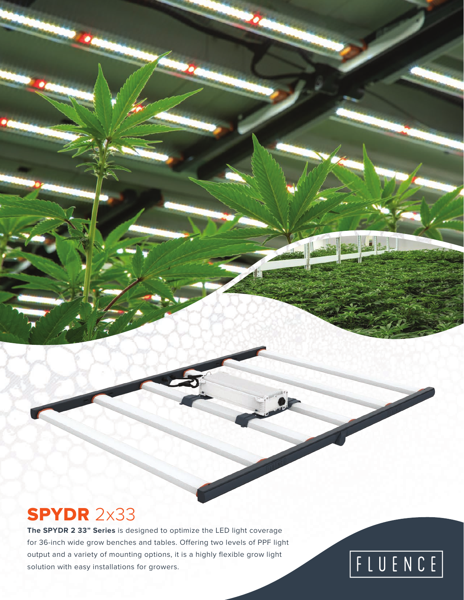## SPYDR 2x33

**The SPYDR 2 33" Series** is designed to optimize the LED light coverage for 36-inch wide grow benches and tables. Offering two levels of PPF light output and a variety of mounting options, it is a highly flexible grow light solution with easy installations for growers.

# FLUENCE